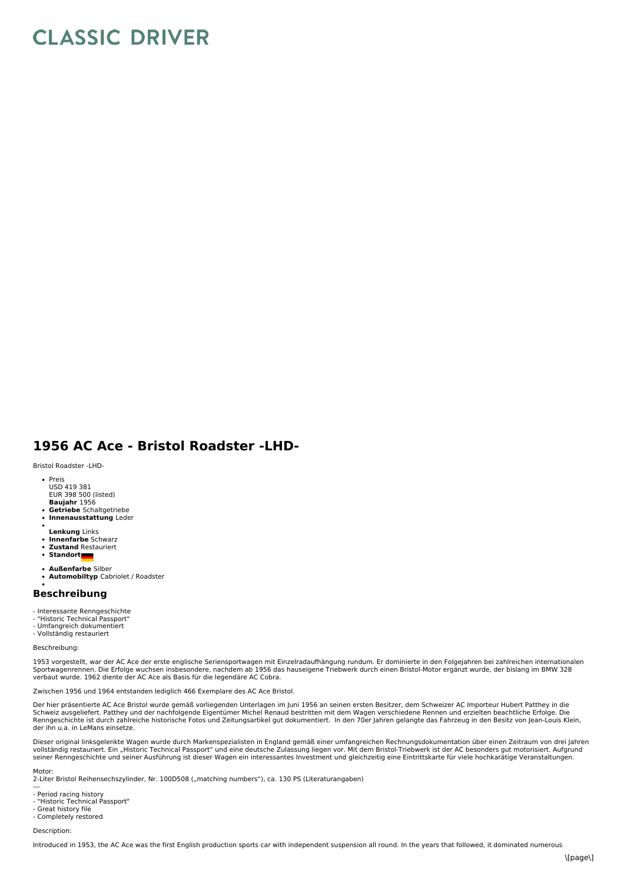## **CLASSIC DRIVER**

## **1956 AC Ace - Bristol Roadster -LHD-**

Bristol Roadster -LHD-

- Preis USD 419 381
- EUR 398 500 (listed)
- **Baujahr** 1956 **Getriebe** Schaltgetriebe
- **Innenausstattung** Leder
- 
- **Lenkung** Links **Innenfarbe** Schwarz
- **Zustand** Restauriert  $\bullet$
- **Standort**
- 
- **Außenfarbe** Silber **Automobiltyp** Cabriolet / Roadster

## **Beschreibung**

- Interessante Renngeschichte
- "Historic Technical Passport"
- Umfangreich dokumentiert Vollständig restauriert
- Beschreibung:

1953 vorgestellt, war der AC Ace der erste englische Seriensportwagen mit Einzelradaufhängung rundum. Er dominierte in den Folgejahren bei zahlreichen internationalen Sportwagenrennen. Die Erfolge wuchsen insbesondere, nachdem ab 1956 das hauseigene Triebwerk durch einen Bristol-Motor ergänzt wurde, der bislang im BMW 328<br>verbaut wurde. 1962 diente der AC Ace als Basis für die legendäre

Zwischen 1956 und 1964 entstanden lediglich 466 Exemplare des AC Ace Bristol.

Der hier präsentierte AC Ace Bristol wurde gemäß vorliegenden Unterlagen im Juni 1956 an seinen ersten Besitzer, dem Schweizer AC Importeur Hubert Patthey in die<br>Schweiz ausgeliefert. Patthey und der nachfolgende Eigentüme der ihn u.a. in LeMans einsetze.

Dieser original linksgelenkte Wagen wurde durch Markenspezialisten in England gemäß einer umfangreichen Rechnungsdokumentation über einen Zeitraum von drei Jahren vollständig restauriert. Ein "Historic Technical Passport" und eine deutsche Zulassung liegen vor. Mit dem Bristol-Triebwerk ist der AC besonders gut motorisiert. Aufgrund<br>seiner Renngeschichte und seiner Ausführung ist di

Motor: 2-Liter Bristol Reihensechszylinder, Nr. 100D508 ("matching numbers"), ca. 130 PS (Literaturangaben)

- --- Period racing history
- 
- "Historic Technical Passport" Great history file
- Completely restored

Description:

Introduced in 1953, the AC Ace was the first English production sports car with independent suspension all round. In the years that followed, it dominated numerous